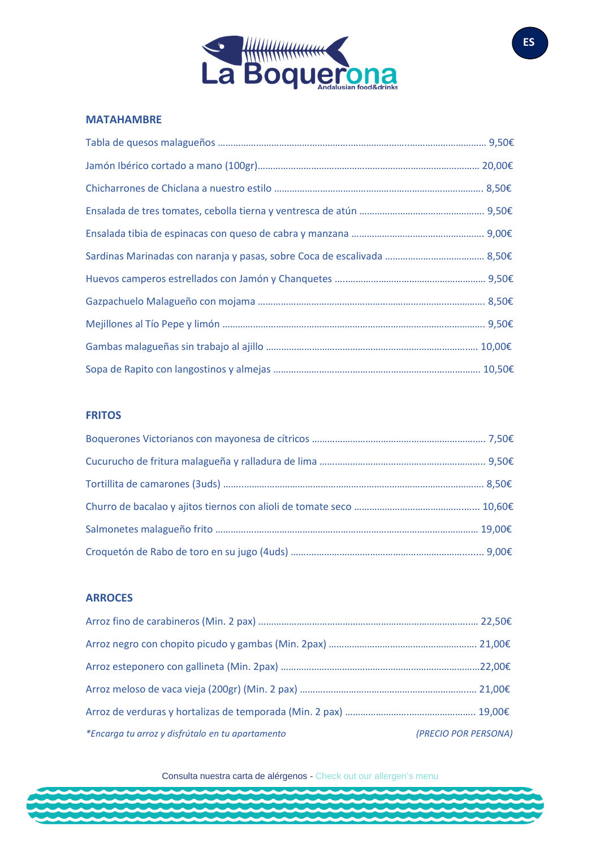

#### **MATAHAMBRE**

#### **FRITOS**

### **ARROCES**

| *Encarga tu arroz y disfrútalo en tu apartamento | (PRECIO POR PERSONA) |
|--------------------------------------------------|----------------------|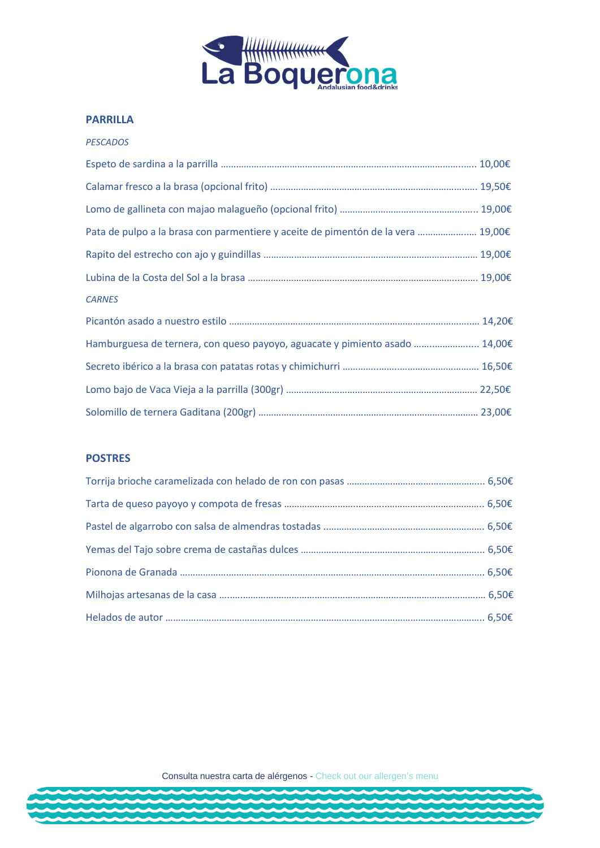

#### **PARRILLA**

#### *PESCADOS*

| Pata de pulpo a la brasa con parmentiere y aceite de pimentón de la vera  19,00€ |  |
|----------------------------------------------------------------------------------|--|
|                                                                                  |  |
|                                                                                  |  |
| <b>CARNES</b>                                                                    |  |
|                                                                                  |  |
| Hamburguesa de ternera, con queso payoyo, aguacate y pimiento asado  14,00€      |  |
|                                                                                  |  |
|                                                                                  |  |
|                                                                                  |  |

#### **POSTRES**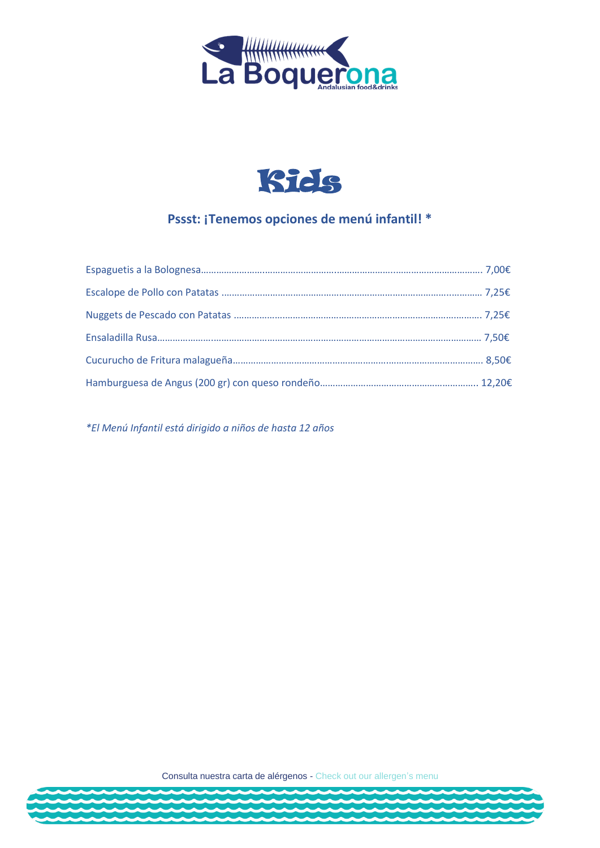



## **Pssst: ¡Tenemos opciones de menú infantil! \***

*\*El Menú Infantil está dirigido a niños de hasta 12 años*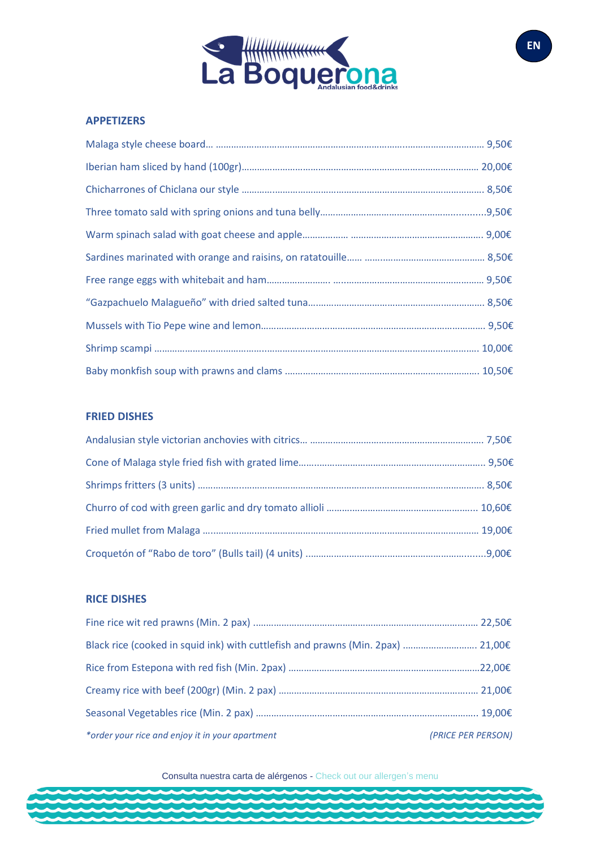

#### **APPETIZERS**

#### **FRIED DISHES**

#### **RICE DISHES**

| Black rice (cooked in squid ink) with cuttlefish and prawns (Min. 2pax)  21,00€ |                    |
|---------------------------------------------------------------------------------|--------------------|
|                                                                                 |                    |
|                                                                                 |                    |
|                                                                                 |                    |
| *order your rice and enjoy it in your apartment                                 | (PRICE PER PERSON) |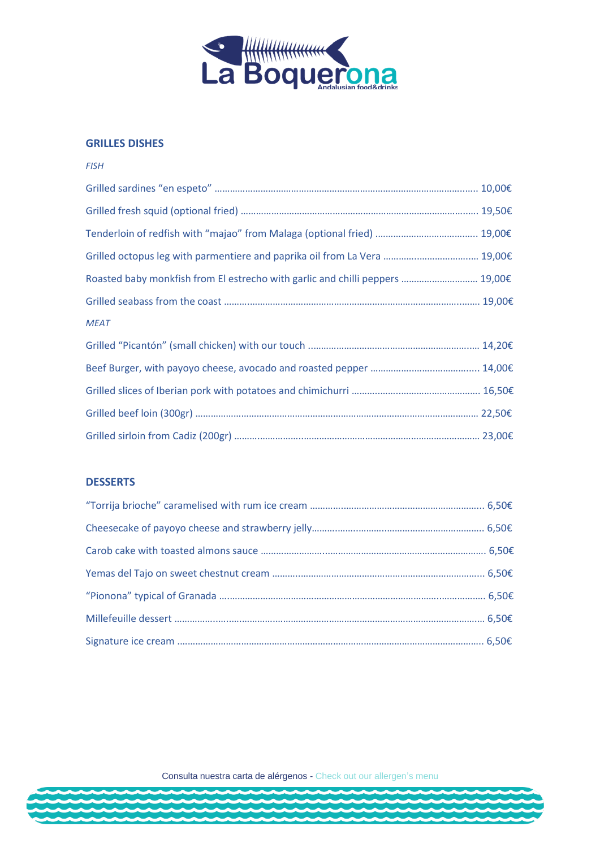

#### **GRILLES DISHES**

| <b>FISH</b>                                                                   |  |
|-------------------------------------------------------------------------------|--|
|                                                                               |  |
|                                                                               |  |
|                                                                               |  |
| Grilled octopus leg with parmentiere and paprika oil from La Vera  19,00€     |  |
| Roasted baby monkfish from El estrecho with garlic and chilli peppers  19,00€ |  |
|                                                                               |  |
| <b>MEAT</b>                                                                   |  |
|                                                                               |  |
|                                                                               |  |
|                                                                               |  |
|                                                                               |  |
|                                                                               |  |

### **DESSERTS**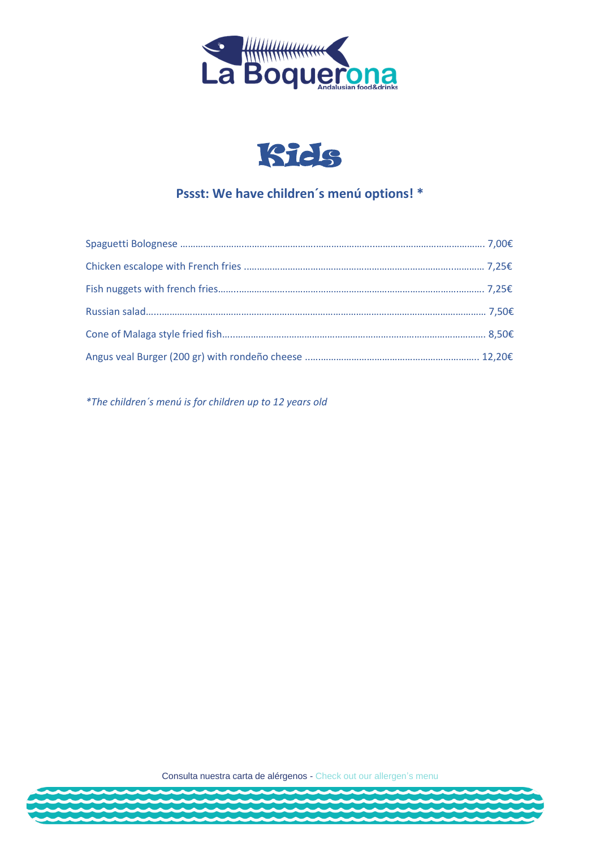



## **Pssst: We have children´s menú options! \***

*\*The children´s menú is for children up to 12 years old*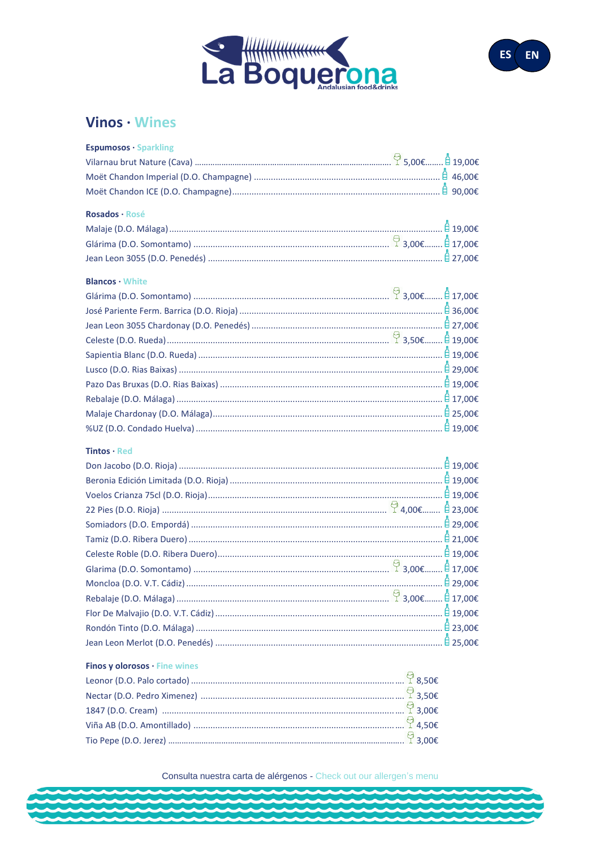



## Vinos · Wines

| <b>Espumosos · Sparkling</b>                                                      |  |
|-----------------------------------------------------------------------------------|--|
|                                                                                   |  |
|                                                                                   |  |
|                                                                                   |  |
| Rosados · Rosé                                                                    |  |
|                                                                                   |  |
|                                                                                   |  |
|                                                                                   |  |
| <b>Blancos</b> · White                                                            |  |
|                                                                                   |  |
| José Pariente Ferm. Barrica (D.O. Rioja) …………………………………………………………………………………… 自36,00€ |  |
|                                                                                   |  |
|                                                                                   |  |
|                                                                                   |  |
|                                                                                   |  |
|                                                                                   |  |
|                                                                                   |  |
|                                                                                   |  |
|                                                                                   |  |
| <b>Tintos</b> $\cdot$ Red                                                         |  |
|                                                                                   |  |
|                                                                                   |  |
|                                                                                   |  |
|                                                                                   |  |
|                                                                                   |  |
|                                                                                   |  |
|                                                                                   |  |
|                                                                                   |  |
|                                                                                   |  |
|                                                                                   |  |
|                                                                                   |  |
|                                                                                   |  |
|                                                                                   |  |
|                                                                                   |  |
| Finos y olorosos · Fine wines                                                     |  |
|                                                                                   |  |
|                                                                                   |  |
|                                                                                   |  |
|                                                                                   |  |